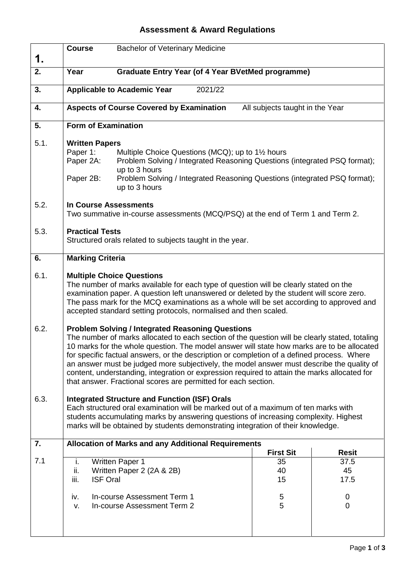## **Assessment & Award Regulations**

| 1.   | <b>Course</b>                                                                                                                                                                                                                                                                                                                                                                                                                                                                                                                                                                                                        | <b>Bachelor of Veterinary Medicine</b>                                                                                                                                                                                                      |                                 |                     |
|------|----------------------------------------------------------------------------------------------------------------------------------------------------------------------------------------------------------------------------------------------------------------------------------------------------------------------------------------------------------------------------------------------------------------------------------------------------------------------------------------------------------------------------------------------------------------------------------------------------------------------|---------------------------------------------------------------------------------------------------------------------------------------------------------------------------------------------------------------------------------------------|---------------------------------|---------------------|
| 2.   | Year                                                                                                                                                                                                                                                                                                                                                                                                                                                                                                                                                                                                                 | <b>Graduate Entry Year (of 4 Year BVetMed programme)</b>                                                                                                                                                                                    |                                 |                     |
| 3.   |                                                                                                                                                                                                                                                                                                                                                                                                                                                                                                                                                                                                                      | <b>Applicable to Academic Year</b><br>2021/22                                                                                                                                                                                               |                                 |                     |
| 4.   |                                                                                                                                                                                                                                                                                                                                                                                                                                                                                                                                                                                                                      | <b>Aspects of Course Covered by Examination</b>                                                                                                                                                                                             | All subjects taught in the Year |                     |
| 5.   | <b>Form of Examination</b>                                                                                                                                                                                                                                                                                                                                                                                                                                                                                                                                                                                           |                                                                                                                                                                                                                                             |                                 |                     |
| 5.1. | <b>Written Papers</b><br>Paper 1:<br>Paper 2A:<br>Paper 2B:                                                                                                                                                                                                                                                                                                                                                                                                                                                                                                                                                          | Multiple Choice Questions (MCQ); up to 1½ hours<br>Problem Solving / Integrated Reasoning Questions (integrated PSQ format);<br>up to 3 hours<br>Problem Solving / Integrated Reasoning Questions (integrated PSQ format);<br>up to 3 hours |                                 |                     |
| 5.2. | <b>In Course Assessments</b><br>Two summative in-course assessments (MCQ/PSQ) at the end of Term 1 and Term 2.                                                                                                                                                                                                                                                                                                                                                                                                                                                                                                       |                                                                                                                                                                                                                                             |                                 |                     |
| 5.3. | <b>Practical Tests</b><br>Structured orals related to subjects taught in the year.                                                                                                                                                                                                                                                                                                                                                                                                                                                                                                                                   |                                                                                                                                                                                                                                             |                                 |                     |
| 6.   | <b>Marking Criteria</b>                                                                                                                                                                                                                                                                                                                                                                                                                                                                                                                                                                                              |                                                                                                                                                                                                                                             |                                 |                     |
| 6.1. | <b>Multiple Choice Questions</b><br>The number of marks available for each type of question will be clearly stated on the<br>examination paper. A question left unanswered or deleted by the student will score zero.<br>The pass mark for the MCQ examinations as a whole will be set according to approved and<br>accepted standard setting protocols, normalised and then scaled.                                                                                                                                                                                                                                 |                                                                                                                                                                                                                                             |                                 |                     |
| 6.2. | <b>Problem Solving / Integrated Reasoning Questions</b><br>The number of marks allocated to each section of the question will be clearly stated, totaling<br>10 marks for the whole question. The model answer will state how marks are to be allocated<br>for specific factual answers, or the description or completion of a defined process. Where<br>an answer must be judged more subjectively, the model answer must describe the quality of<br>content, understanding, integration or expression required to attain the marks allocated for<br>that answer. Fractional scores are permitted for each section. |                                                                                                                                                                                                                                             |                                 |                     |
| 6.3. | <b>Integrated Structure and Function (ISF) Orals</b><br>Each structured oral examination will be marked out of a maximum of ten marks with<br>students accumulating marks by answering questions of increasing complexity. Highest<br>marks will be obtained by students demonstrating integration of their knowledge.                                                                                                                                                                                                                                                                                               |                                                                                                                                                                                                                                             |                                 |                     |
| 7.   |                                                                                                                                                                                                                                                                                                                                                                                                                                                                                                                                                                                                                      | <b>Allocation of Marks and any Additional Requirements</b>                                                                                                                                                                                  | <b>First Sit</b>                | <b>Resit</b>        |
| 7.1  | i.<br>ii.<br>iii.<br><b>ISF Oral</b>                                                                                                                                                                                                                                                                                                                                                                                                                                                                                                                                                                                 | <b>Written Paper 1</b><br>Written Paper 2 (2A & 2B)                                                                                                                                                                                         | 35<br>40<br>15                  | 37.5<br>45<br>17.5  |
|      | iv.<br>V.                                                                                                                                                                                                                                                                                                                                                                                                                                                                                                                                                                                                            | In-course Assessment Term 1<br>In-course Assessment Term 2                                                                                                                                                                                  | 5<br>5                          | 0<br>$\overline{0}$ |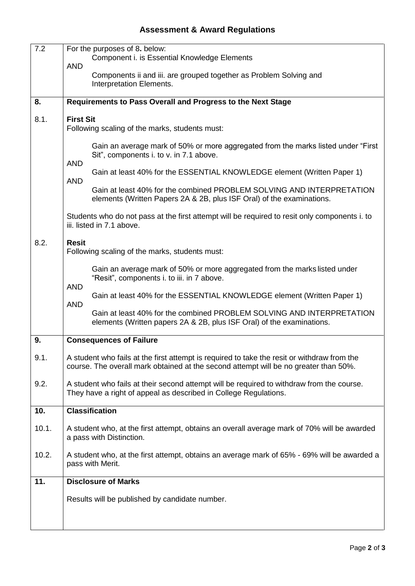## **Assessment & Award Regulations**

| 7.2   | For the purposes of 8. below:<br>Component i. is Essential Knowledge Elements                                                                                                       |  |  |  |
|-------|-------------------------------------------------------------------------------------------------------------------------------------------------------------------------------------|--|--|--|
|       | <b>AND</b><br>Components ii and iii. are grouped together as Problem Solving and<br>Interpretation Elements.                                                                        |  |  |  |
| 8.    | Requirements to Pass Overall and Progress to the Next Stage                                                                                                                         |  |  |  |
| 8.1.  | <b>First Sit</b><br>Following scaling of the marks, students must:                                                                                                                  |  |  |  |
|       | Gain an average mark of 50% or more aggregated from the marks listed under "First"<br>Sit", components i. to v. in 7.1 above.<br><b>AND</b>                                         |  |  |  |
|       | Gain at least 40% for the ESSENTIAL KNOWLEDGE element (Written Paper 1)<br><b>AND</b>                                                                                               |  |  |  |
|       | Gain at least 40% for the combined PROBLEM SOLVING AND INTERPRETATION<br>elements (Written Papers 2A & 2B, plus ISF Oral) of the examinations.                                      |  |  |  |
|       | Students who do not pass at the first attempt will be required to resit only components i. to<br>iii. listed in 7.1 above.                                                          |  |  |  |
| 8.2.  | <b>Resit</b><br>Following scaling of the marks, students must:                                                                                                                      |  |  |  |
|       | Gain an average mark of 50% or more aggregated from the marks listed under<br>"Resit", components i. to iii. in 7 above.<br><b>AND</b>                                              |  |  |  |
|       | Gain at least 40% for the ESSENTIAL KNOWLEDGE element (Written Paper 1)<br><b>AND</b>                                                                                               |  |  |  |
|       | Gain at least 40% for the combined PROBLEM SOLVING AND INTERPRETATION<br>elements (Written papers 2A & 2B, plus ISF Oral) of the examinations.                                      |  |  |  |
| 9.    | <b>Consequences of Failure</b>                                                                                                                                                      |  |  |  |
| 9.1.  | A student who fails at the first attempt is required to take the resit or withdraw from the<br>course. The overall mark obtained at the second attempt will be no greater than 50%. |  |  |  |
| 9.2.  | A student who fails at their second attempt will be required to withdraw from the course.<br>They have a right of appeal as described in College Regulations.                       |  |  |  |
| 10.   | <b>Classification</b>                                                                                                                                                               |  |  |  |
| 10.1. | A student who, at the first attempt, obtains an overall average mark of 70% will be awarded<br>a pass with Distinction.                                                             |  |  |  |
| 10.2. | A student who, at the first attempt, obtains an average mark of 65% - 69% will be awarded a<br>pass with Merit.                                                                     |  |  |  |
| 11.   | <b>Disclosure of Marks</b>                                                                                                                                                          |  |  |  |
|       | Results will be published by candidate number.                                                                                                                                      |  |  |  |
|       |                                                                                                                                                                                     |  |  |  |